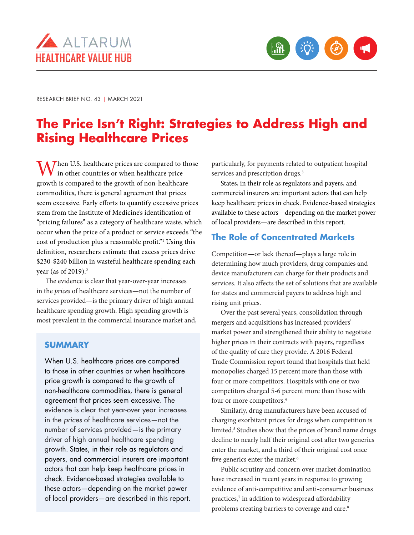



RESEARCH BRIEF NO. 43 | MARCH 2021

# **The Price Isn't Right: Strategies to Address High and Rising Healthcare Prices**

When U.S. healthcare prices are compared to those  $\mathbf V$  in other countries or when healthcare price growth is compared to the growth of non-healthcare commodities, there is general agreement that prices seem excessive. Early efforts to quantify excessive prices stem from the Institute of Medicine's identification of "pricing failures" as a category of healthcare waste, which occur when the price of a product or service exceeds "the cost of production plus a reasonable profit."1 Using this definition, researchers estimate that excess prices drive \$230-\$240 billion in wasteful healthcare spending each year (as of 2019).<sup>2</sup>

The evidence is clear that year-over-year increases in the *prices* of healthcare services—not the number of services provided—is the primary driver of high annual healthcare spending growth. High spending growth is most prevalent in the commercial insurance market and,

## **SUMMARY**

When U.S. healthcare prices are compared to those in other countries or when healthcare price growth is compared to the growth of non-healthcare commodities, there is general agreement that prices seem excessive. The evidence is clear that year-over year increases in the *prices* of healthcare services—not the number of services provided—is the primary driver of high annual healthcare spending growth. States, in their role as regulators and payers, and commercial insurers are important actors that can help keep healthcare prices in check. Evidence-based strategies available to these actors—depending on the market power of local providers—are described in this report. particularly, for payments related to outpatient hospital services and prescription drugs.<sup>3</sup>

States, in their role as regulators and payers, and commercial insurers are important actors that can help keep healthcare prices in check. Evidence-based strategies available to these actors—depending on the market power of local providers—are described in this report.

# **The Role of Concentrated Markets**

Competition—or lack thereof—plays a large role in determining how much providers, drug companies and device manufacturers can charge for their products and services. It also affects the set of solutions that are available for states and commercial payers to address high and rising unit prices.

Over the past several years, consolidation through mergers and acquisitions has increased providers' market power and strengthened their ability to negotiate higher prices in their contracts with payers, regardless of the quality of care they provide. A 2016 Federal Trade Commission report found that hospitals that held monopolies charged 15 percent more than those with four or more competitors. Hospitals with one or two competitors charged 5-6 percent more than those with four or more competitors.4

Similarly, drug manufacturers have been accused of charging exorbitant prices for drugs when competition is limited.<sup>5</sup> Studies show that the prices of brand name drugs decline to nearly half their original cost after two generics enter the market, and a third of their original cost once five generics enter the market.<sup>6</sup>

Public scrutiny and concern over market domination have increased in recent years in response to growing evidence of anti-competitive and anti-consumer business practices,<sup>7</sup> in addition to widespread affordability problems creating barriers to coverage and care.<sup>8</sup>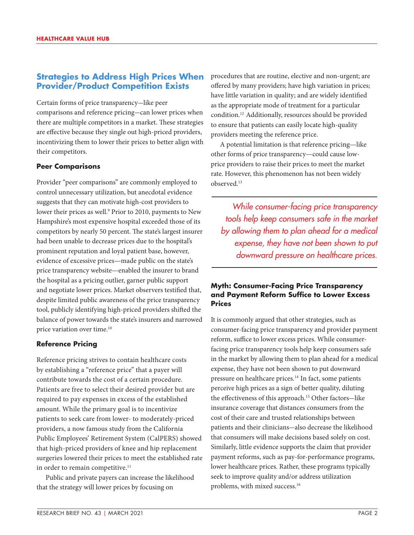# **Strategies to Address High Prices When Provider/Product Competition Exists**

Certain forms of price transparency-like peer comparisons and reference pricing-can lower prices when there are multiple competitors in a market. These strategies are effective because they single out high-priced providers, incentivizing them to lower their prices to better align with their competitors.

## **Peer Comparisons**

Provider "peer comparisons" are commonly employed to control unnecessary utilization, but anecdotal evidence suggests that they can motivate high-cost providers to lower their prices as well.<sup>9</sup> Prior to 2010, payments to New Hampshire's most expensive hospital exceeded those of its competitors by nearly 50 percent. The state's largest insurer had been unable to decrease prices due to the hospital's prominent reputation and loyal patient base, however, evidence of excessive prices—made public on the state's price transparency website—enabled the insurer to brand the hospital as a pricing outlier, garner public support and negotiate lower prices. Market observers testified that, despite limited public awareness of the price transparency tool, publicly identifying high-priced providers shifted the balance of power towards the state's insurers and narrowed price variation over time.10

## **Reference Pricing**

Reference pricing strives to contain healthcare costs by establishing a "reference price" that a payer will contribute towards the cost of a certain procedure. Patients are free to select their desired provider but are required to pay expenses in excess of the established amount. While the primary goal is to incentivize patients to seek care from lower- to moderately-priced providers, a now famous study from the California Public Employees' Retirement System (CalPERS) showed that high-priced providers of knee and hip replacement surgeries lowered their prices to meet the established rate in order to remain competitive.<sup>11</sup>

Public and private payers can increase the likelihood that the strategy will lower prices by focusing on

procedures that are routine, elective and non-urgent; are offered by many providers; have high variation in prices; have little variation in quality; and are widely identified as the appropriate mode of treatment for a particular condition.12 Additionally, resources should be provided to ensure that patients can easily locate high-quality providers meeting the reference price.

A potential limitation is that reference pricing—like other forms of price transparency—could cause lowprice providers to raise their prices to meet the market rate. However, this phenomenon has not been widely observed.13

*While consumer-facing price transparency tools help keep consumers safe in the market by allowing them to plan ahead for a medical expense, they have not been shown to put downward pressure on healthcare prices.*

## **Myth: Consumer-Facing Price Transparency and Payment Reform Suffice to Lower Excess Prices**

It is commonly argued that other strategies, such as consumer-facing price transparency and provider payment reform, suffice to lower excess prices. While consumerfacing price transparency tools help keep consumers safe in the market by allowing them to plan ahead for a medical expense, they have not been shown to put downward pressure on healthcare prices.<sup>14</sup> In fact, some patients perceive high prices as a sign of better quality, diluting the effectiveness of this approach.<sup>15</sup> Other factors-like insurance coverage that distances consumers from the cost of their care and trusted relationships between patients and their clinicians-also decrease the likelihood that consumers will make decisions based solely on cost. Similarly, little evidence supports the claim that provider payment reforms, such as pay-for-performance programs, lower healthcare prices. Rather, these programs typically seek to improve quality and/or address utilization problems, with mixed success.16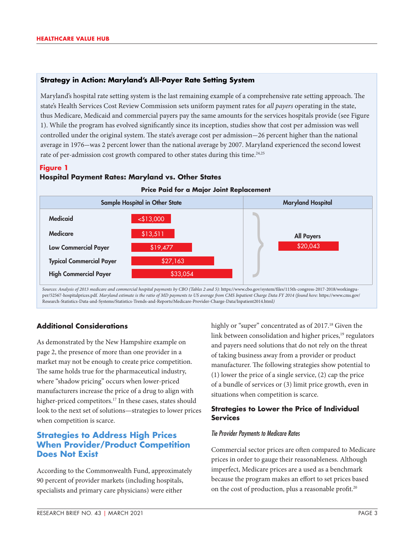## **Strategy in Action: Maryland's All-Payer Rate Setting System**

Maryland's hospital rate setting system is the last remaining example of a comprehensive rate setting approach. The state's Health Services Cost Review Commission sets uniform payment rates for *all payers* operating in the state, thus Medicare, Medicaid and commercial payers pay the same amounts for the services hospitals provide (see Figure 1). While the program has evolved significantly since its inception, studies show that cost per admission was well controlled under the original system. The state's average cost per admission-26 percent higher than the national average in 1976-was 2 percent lower than the national average by 2007. Maryland experienced the second lowest rate of per-admission cost growth compared to other states during this time.<sup>24,25</sup>

#### **Figure 1**

#### **Hospital Payment Rates: Maryland vs. Other States**



Sources: Analysis of 2013 medicare and commercial hospital payments by CBO (Tables 2 and 5): https://www.cbo.gov/system/files/115th-congress-2017-2018/workingpaper/52567-hospitalprices.pdf. Maryland estimate is the ratio of MD payments to US average from CMS Inpatient Charge Data FY 2014 (found here: https://www.cms.gov/ Research-Statistics-Data-and-Systems/Statistics-Trends-and-Reports/Medicare-Provider-Charge-Data/Inpatient2014.html*)*

# **Additional Considerations**

As demonstrated by the New Hampshire example on page 2, the presence of more than one provider in a market may not be enough to create price competition. The same holds true for the pharmaceutical industry, where "shadow pricing" occurs when lower-priced manufacturers increase the price of a drug to align with higher-priced competitors.<sup>17</sup> In these cases, states should look to the next set of solutions—strategies to lower prices when competition is scarce.

# **Strategies to Address High Prices When Provider/Product Competition Does Not Exist**

According to the Commonwealth Fund, approximately 90 percent of provider markets (including hospitals, specialists and primary care physicians) were either

highly or "super" concentrated as of 2017.<sup>18</sup> Given the link between consolidation and higher prices,<sup>19</sup> regulators and payers need solutions that do not rely on the threat of taking business away from a provider or product manufacturer. The following strategies show potential to (1) lower the price of a single service, (2) cap the price of a bundle of services or (3) limit price growth, even in situations when competition is scarce.

## **Strategies to Lower the Price of Individual Services**

#### *Tie Provider Payments to Medicare Rates*

Commercial sector prices are often compared to Medicare prices in order to gauge their reasonableness. Although imperfect, Medicare prices are a used as a benchmark because the program makes an effort to set prices based on the cost of production, plus a reasonable profit.<sup>20</sup>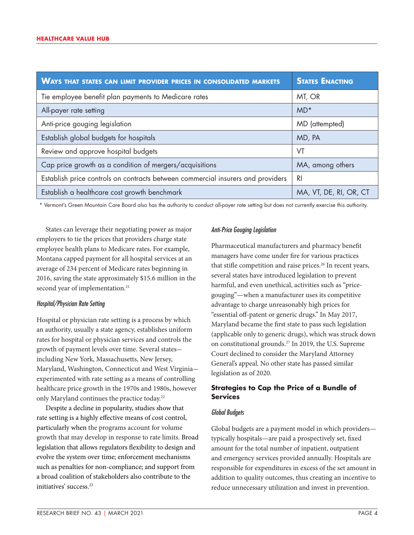| <b>WAYS THAT STATES CAN LIMIT PROVIDER PRICES IN CONSOLIDATED MARKETS</b>       | <b>STATES ENACTING</b> |
|---------------------------------------------------------------------------------|------------------------|
| Tie employee benefit plan payments to Medicare rates                            | MT, OR                 |
| All-payer rate setting                                                          | $MD*$                  |
| Anti-price gouging legislation                                                  | MD (attempted)         |
| Establish global budgets for hospitals                                          | MD, PA                 |
| Review and approve hospital budgets                                             | VT                     |
| Cap price growth as a condition of mergers/acquisitions                         | MA, among others       |
| Establish price controls on contracts between commercial insurers and providers | R <sub>l</sub>         |
| Establish a healthcare cost growth benchmark                                    | MA, VT, DE, RI, OR, CT |

\* Vermont's Green Mountain Care Board also has the authority to conduct all-payer rate setting but does not currently exercise this authority.

States can leverage their negotiating power as major employers to tie the prices that providers charge state employee health plans to Medicare rates. For example, Montana capped payment for all hospital services at an average of 234 percent of Medicare rates beginning in 2016, saving the state approximately \$15.6 million in the second year of implementation.<sup>21</sup>

#### *Hospital/Physician Rate Setting*

Hospital or physician rate setting is a process by which an authority, usually a state agency, establishes uniform rates for hospital or physician services and controls the growth of payment levels over time. Several statesincluding New York, Massachusetts, New Jersey, Maryland, Washington, Connecticut and West Virginiaexperimented with rate setting as a means of controlling healthcare price growth in the 1970s and 1980s, however only Maryland continues the practice today.22

Despite a decline in popularity, studies show that rate setting is a highly effective means of cost control, particularly when the programs account for volume growth that may develop in response to rate limits. Broad legislation that allows regulators flexibility to design and evolve the system over time; enforcement mechanisms such as penalties for non-compliance; and support from a broad coalition of stakeholders also contribute to the initiatives' success.<sup>23</sup>

#### *Anti-Price Gouging Legislation*

Pharmaceutical manufacturers and pharmacy benefit managers have come under fire for various practices that stifle competition and raise prices.<sup>26</sup> In recent years, several states have introduced legislation to prevent harmful, and even unethical, activities such as "pricegouging"—when a manufacturer uses its competitive advantage to charge unreasonably high prices for "essential off-patent or generic drugs." In May 2017, Maryland became the first state to pass such legislation (applicable only to generic drugs), which was struck down on constitutional grounds.27 In 2019, the U.S. Supreme Court declined to consider the Maryland Attorney General's appeal. No other state has passed similar legislation as of 2020.

## **Strategies to Cap the Price of a Bundle of Services**

#### *Global Budgets*

Global budgets are a payment model in which providers typically hospitals—are paid a prospectively set, fixed amount for the total number of inpatient, outpatient and emergency services provided annually. Hospitals are responsible for expenditures in excess of the set amount in addition to quality outcomes, thus creating an incentive to reduce unnecessary utilization and invest in prevention.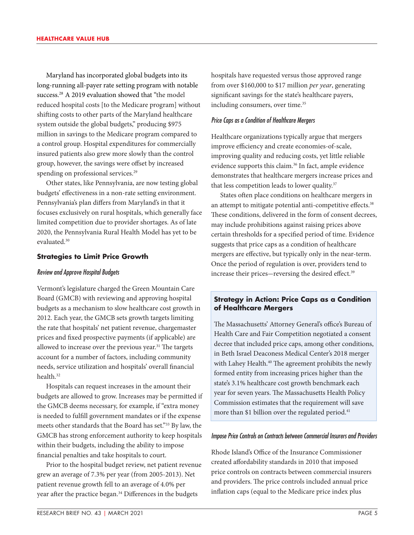Maryland has incorporated global budgets into its long-running all-payer rate setting program with notable success.<sup>28</sup> A 2019 evaluation showed that "the model reduced hospital costs [to the Medicare program] without shifting costs to other parts of the Maryland healthcare system outside the global budgets," producing \$975 million in savings to the Medicare program compared to a control group. Hospital expenditures for commercially insured patients also grew more slowly than the control group, however, the savings were offset by increased spending on professional services.<sup>29</sup>

Other states, like Pennsylvania, are now testing global budgets' effectiveness in a non-rate setting environment. Pennsylvania's plan differs from Maryland's in that it focuses exclusively on rural hospitals, which generally face limited competition due to provider shortages. As of late 2020, the Pennsylvania Rural Health Model has yet to be evaluated.30

#### **Strategies to Limit Price Growth**

#### *Review and Approve Hospital Budgets*

Vermont's legislature charged the Green Mountain Care Board (GMCB) with reviewing and approving hospital budgets as a mechanism to slow healthcare cost growth in 2012. Each year, the GMCB sets growth targets limiting the rate that hospitals' net patient revenue, chargemaster prices and fixed prospective payments (if applicable) are allowed to increase over the previous year.<sup>31</sup> The targets account for a number of factors, including community needs, service utilization and hospitals' overall financial health.<sup>32</sup>

Hospitals can request increases in the amount their budgets are allowed to grow. Increases may be permitted if the GMCB deems necessary, for example, if "extra money is needed to fulfill government mandates or if the expense meets other standards that the Board has set."<sup>33</sup> By law, the GMCB has strong enforcement authority to keep hospitals within their budgets, including the ability to impose financial penalties and take hospitals to court.

Prior to the hospital budget review, net patient revenue grew an average of 7.3% per year (from 2005-2013). Net patient revenue growth fell to an average of 4.0% per year after the practice began.<sup>34</sup> Differences in the budgets

hospitals have requested versus those approved range from over \$160,000 to \$17 million *per year*, generating significant savings for the state's healthcare payers, including consumers, over time.<sup>35</sup>

#### *Price Caps as a Condition of Healthcare Mergers*

Healthcare organizations typically argue that mergers improve efficiency and create economies-of-scale, improving quality and reducing costs, yet little reliable evidence supports this claim.<sup>36</sup> In fact, ample evidence demonstrates that healthcare mergers increase prices and that less competition leads to lower quality.<sup>37</sup>

States often place conditions on healthcare mergers in an attempt to mitigate potential anti-competitive effects.<sup>38</sup> These conditions, delivered in the form of consent decrees, may include prohibitions against raising prices above certain thresholds for a specified period of time. Evidence suggests that price caps as a condition of healthcare mergers are effective, but typically only in the near-term. Once the period of regulation is over, providers tend to increase their prices-reversing the desired effect.<sup>39</sup>

#### **Strategy in Action: Price Caps as a Condition of Healthcare Mergers**

The Massachusetts' Attorney General's office's Bureau of Health Care and Fair Competition negotiated a consent decree that included price caps, among other conditions, in Beth Israel Deaconess Medical Center's 2018 merger with Lahey Health.<sup>40</sup> The agreement prohibits the newly formed entity from increasing prices higher than the state's 3.1% healthcare cost growth benchmark each year for seven years. The Massachusetts Health Policy Commission estimates that the requirement will save more than \$1 billion over the regulated period.<sup>41</sup>

#### *Impose Price Controls on Contracts between Commercial Insurers and Providers*

Rhode Island's Office of the Insurance Commissioner created affordability standards in 2010 that imposed price controls on contracts between commercial insurers and providers. The price controls included annual price inflation caps (equal to the Medicare price index plus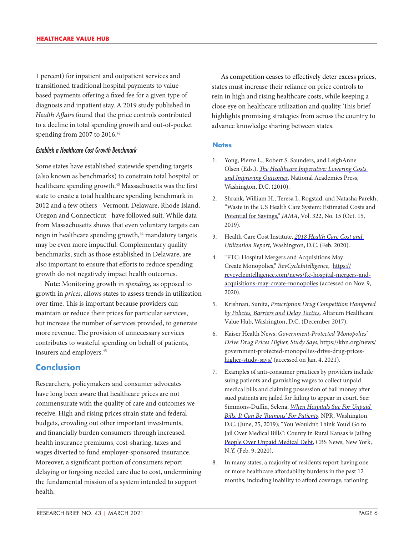1 percent) for inpatient and outpatient services and transitioned traditional hospital payments to valuebased payments offering a fixed fee for a given type of diagnosis and inpatient stay. A 2019 study published in *Health Affairs* found that the price controls contributed to a decline in total spending growth and out-of-pocket spending from 2007 to 2016.<sup>42</sup>

#### *Establish a Healthcare Cost Growth Benchmark*

Some states have established statewide spending targets (also known as benchmarks) to constrain total hospital or healthcare spending growth.<sup>43</sup> Massachusetts was the first state to create a total healthcare spending benchmark in 2012 and a few others-Vermont, Delaware, Rhode Island, Oregon and Connecticut-have followed suit. While data from Massachusetts shows that even voluntary targets can reign in healthcare spending growth,<sup>44</sup> mandatory targets may be even more impactful. Complementary quality benchmarks, such as those established in Delaware, are also important to ensure that efforts to reduce spending growth do not negatively impact health outcomes.

**Note**: Monitoring growth in *spending*, as opposed to growth in *prices*, allows states to assess trends in utilization over time. This is important because providers can maintain or reduce their prices for particular services, but increase the number of services provided, to generate more revenue. The provision of unnecessary services contributes to wasteful spending on behalf of patients, insurers and employers.45

# **Conclusion**

Researchers, policymakers and consumer advocates have long been aware that healthcare prices are not commensurate with the quality of care and outcomes we receive. High and rising prices strain state and federal budgets, crowding out other important investments, and financially burden consumers through increased health insurance premiums, cost-sharing, taxes and wages diverted to fund employer-sponsored insurance. Moreover, a significant portion of consumers report delaying or forgoing needed care due to cost, undermining the fundamental mission of a system intended to support health.

As competition ceases to effectively deter excess prices, states must increase their reliance on price controls to rein in high and rising healthcare costs, while keeping a close eye on healthcare utilization and quality. This brief highlights promising strategies from across the country to advance knowledge sharing between states.

#### **Notes**

- 1. Yong, Pierre L., Robert S. Saunders, and LeighAnne Olsen (Eds.), *[The Healthcare Imperative: Lowering Costs](https://www.ncbi.nlm.nih.gov/pubmed/21595114)  [and Improving Outcomes](https://www.ncbi.nlm.nih.gov/pubmed/21595114)*, National Academies Press, Washington, D.C. (2010).
- 2. Shrank, William H., Teresa L. Rogstad, and Natasha Parekh, "[Waste in the US Health Care System: Estimated Costs and](https://jamanetwork.com/journals/jama/article-abstract/2752664)  [Potential for Savings,](https://jamanetwork.com/journals/jama/article-abstract/2752664)" *JAMA*, Vol. 322, No. 15 (Oct. 15, 2019).
- 3. Health Care Cost Institute, *[2018 Health Care Cost and](https://healthcostinstitute.org/images/pdfs/HCCI_2018_Health_Care_Cost_and_Utilization_Report.pdf)  [Utilization Report](https://healthcostinstitute.org/images/pdfs/HCCI_2018_Health_Care_Cost_and_Utilization_Report.pdf)*, Washington, D.C. (Feb. 2020).
- 4. "FTC: Hospital Mergers and Acquisitions May Create Monopolies," *RevCycleIntelligence*, [https://](https://revcycleintelligence.com/news/ftc-hospital-mergers-and-acquisitions-may-create-monopolies) [revcycleintelligence.com/news/ftc-hospital-mergers-and](https://revcycleintelligence.com/news/ftc-hospital-mergers-and-acquisitions-may-create-monopolies)[acquisitions-may-create-monopolies](https://revcycleintelligence.com/news/ftc-hospital-mergers-and-acquisitions-may-create-monopolies) (accessed on Nov. 9, 2020).
- 5. Krishnan, Sunita, *[Prescription Drug Competition Hampered](https://www.healthcarevaluehub.org/advocate-resources/publications/prescription-drug-competition-hampered-policies-barriers-and-delay-tactics/)  [by Policies, Barriers and Delay Tactics](https://www.healthcarevaluehub.org/advocate-resources/publications/prescription-drug-competition-hampered-policies-barriers-and-delay-tactics/)*, Altarum Healthcare Value Hub, Washington, D.C. (December 2017).
- 6. Kaiser Health News, *Government-Protected 'Monopolies' Drive Drug Prices Higher, Study Says*, [https://khn.org/news/](https://khn.org/news/government-protected-monopolies-drive-drug-prices-higher-study-says/) [government-protected-monopolies-drive-drug-prices](https://khn.org/news/government-protected-monopolies-drive-drug-prices-higher-study-says/)[higher-study-says/](https://khn.org/news/government-protected-monopolies-drive-drug-prices-higher-study-says/) (accessed on Jan. 4, 2021).
- 7. Examples of anti-consumer practices by providers include suing patients and garnishing wages to collect unpaid medical bills and claiming possession of bail money after sued patients are jailed for failing to appear in court. See: Simmons-Duffin, Selena, *[When Hospitals Sue For Unpaid](https://www.npr.org/sections/health-shots/2019/06/25/735385283/hospitals-earn-little-from-suing-for-unpaid-bills-for-patients-it-can-be-ruinous)  [Bills, It Can Be 'Ruinous' For Patients](https://www.npr.org/sections/health-shots/2019/06/25/735385283/hospitals-earn-little-from-suing-for-unpaid-bills-for-patients-it-can-be-ruinous)*, NPR, Washington, D.C. (June, 25, 2019); ["You Wouldn't Think You'd Go to](https://www.cbsnews.com/news/coffeyville-kansas-medical-debt-county-in-rural-kansas-is-jailing-people-over-unpaid-medical-debt/)  [Jail Over Medical Bills": County in Rural Kansas is Jailing](https://www.cbsnews.com/news/coffeyville-kansas-medical-debt-county-in-rural-kansas-is-jailing-people-over-unpaid-medical-debt/)  [People Over Unpaid Medical Debt,](https://www.cbsnews.com/news/coffeyville-kansas-medical-debt-county-in-rural-kansas-is-jailing-people-over-unpaid-medical-debt/) CBS News, New York, N.Y. (Feb. 9, 2020).
- 8. In many states, a majority of residents report having one or more healthcare affordability burdens in the past 12 months, including inability to afford coverage, rationing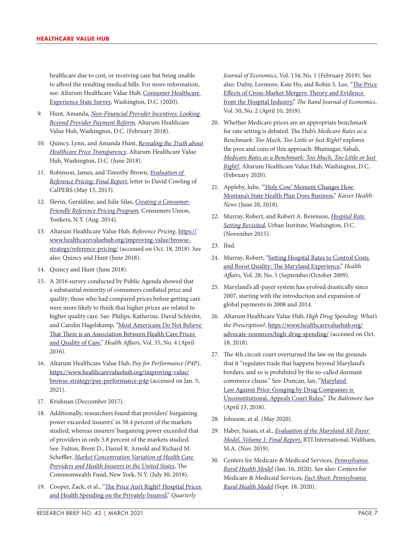healthcare due to cost, or receiving care but being unable to afford the resulting medical bills. For more information, see: Altarum Healthcare Value Hub, [Consumer Healthcare](https://www.healthcarevaluehub.org/advocate-resources/consumer-healthcare-experience-state-survey)  [Experience State Survey,](https://www.healthcarevaluehub.org/advocate-resources/consumer-healthcare-experience-state-survey) Washington, D.C. (2020).

- 9. Hunt, Amanda, *[Non-Financial Provider Incentives: Looking](https://www.healthcarevaluehub.org/advocate-resources/publications/non-financial-provider-incentives-looking-beyond-provider-payment-reform/%C2%A0)  [Beyond Provider Payment Reform](https://www.healthcarevaluehub.org/advocate-resources/publications/non-financial-provider-incentives-looking-beyond-provider-payment-reform/%C2%A0)*, Altarum Healthcare Value Hub, Washington, D.C. (February 2018).
- 10. Quincy, Lynn, and Amanda Hunt, *[Revealing the Truth about](https://www.healthcarevaluehub.org/advocate-resources/publications/revealing-truth-about-healthcare-price-transparency/%C2%A0)  [Healthcare Price Transparency](https://www.healthcarevaluehub.org/advocate-resources/publications/revealing-truth-about-healthcare-price-transparency/%C2%A0)*, Altarum Healthcare Value Hub, Washington, D.C. (June 2018).
- 11. Robinson, James, and Timothy Brown, *[Evaluation of](https://www.kff.org/wp-content/uploads/sites/2/2014/05/reference-pricing-california-berkeley.pdf)  [Reference Pricing: Final Report](https://www.kff.org/wp-content/uploads/sites/2/2014/05/reference-pricing-california-berkeley.pdf)*, letter to David Cowling of CalPERS (May 15, 2013).
- 12. Slevin, Geraldine, and Julie Silas, *[Creating a Consumer-](https://consumersunion.org/wp-content/uploads/2014/08/Reference_pricing_principles_814.pdf)[Friendly Reference Pricing Program](https://consumersunion.org/wp-content/uploads/2014/08/Reference_pricing_principles_814.pdf)*, Consumers Union, Yonkers, N.Y. (Aug. 2014).
- 13. Altarum Healthcare Value Hub, *Reference Pricing*, [https://](https://www.healthcarevaluehub.org/improving-value/browse-strategy/reference-pricing/) [www.healthcarevaluehub.org/improving-value/browse](https://www.healthcarevaluehub.org/improving-value/browse-strategy/reference-pricing/)[strategy/reference-pricing/](https://www.healthcarevaluehub.org/improving-value/browse-strategy/reference-pricing/) (accessed on Oct. 18, 2018). See also: Quincy and Hunt (June 2018).
- 14. Quincy and Hunt (June 2018).
- 15. A 2016 survey conducted by Public Agenda showed that a substantial minority of consumers conflated price and quality; those who had compared prices before getting care were more likely to think that higher prices are related to higher quality care. See: Philips, Katherine, David Schleifer, and Carolin Hagelskamp, ["Most Americans Do Not Believe](https://www.ncbi.nlm.nih.gov/pmc/articles/PMC5029784/)  [That There is an Association Between Health Care Prices](https://www.ncbi.nlm.nih.gov/pmc/articles/PMC5029784/)  [and Quality of Care](https://www.ncbi.nlm.nih.gov/pmc/articles/PMC5029784/)," *Health Affairs*, Vol. 35, No. 4 (April 2016).
- 16. Altarum Healthcare Value Hub, *Pay for Performance (P4P)*, [https://www.healthcarevaluehub.org/improving-value/](https://www.healthcarevaluehub.org/improving-value/browse-strategy/pay-performance-p4p) [browse-strategy/pay-performance-p4p](https://www.healthcarevaluehub.org/improving-value/browse-strategy/pay-performance-p4p) (accessed on Jan. 5, 2021).
- 17. Krishnan (Deccember 2017).
- 18. Additionally, researchers found that providers' bargaining power exceeded insurers' in 58.4 percent of the markets studied, whereas insurers' bargaining power exceeded that of providers in only 5.8 percent of the markets studied. See: Fulton, Brent D., Daniel R. Arnold and Richard M. Scheffler, *[Market Concentration Variation of Health Care](https://www.commonwealthfund.org/blog/2018/variation-healthcare-provider-and-health-insurer-market-concentration)  [Providers and Health Insurers in the United States](https://www.commonwealthfund.org/blog/2018/variation-healthcare-provider-and-health-insurer-market-concentration)*, The Commonwealth Fund, New York, N.Y. (July 30, 2018).
- 19. Cooper, Zack, et al., "The Price Ain't Right? Hospital Prices [and Health Spending on the Privately Insured](https://pubmed.ncbi.nlm.nih.gov/32981974/)," *Quarterly*

*Journal of Economics*, Vol. 134, No. 1 (February 2019). See also: Dafny, Leemore, Kate Ho, and Robin S. Lee, "[The Price](https://onlinelibrary.wiley.com/doi/abs/10.1111/1756-2171.12270)  [Effects of Cross-Market Mergers: Theory and Evidence](https://onlinelibrary.wiley.com/doi/abs/10.1111/1756-2171.12270)  [from the Hospital Industry](https://onlinelibrary.wiley.com/doi/abs/10.1111/1756-2171.12270)," *The Rand Journal of Economics*, Vol. 50, No. 2 (April 10, 2019).

- 20. Whether Medicare prices are an appropriate benchmark for rate setting is debated. The Hub's *Medicare Rates as a Benchmark: Too Much, Too Little or Just Right?* explores the pros and cons of this approach: Bhatnagar, Sabah, *[Medicare Rates as a Benchmark: Too Much, Too Little or Just](https://www.healthcarevaluehub.org/advocate-resources/publications/medicare-rates-benchmark-too-much-too-little-or-just-right)  [Right?](https://www.healthcarevaluehub.org/advocate-resources/publications/medicare-rates-benchmark-too-much-too-little-or-just-right)*, Altarum Healthcare Value Hub, Washington, D.C. (February 2020).
- 21. Appleby, Julie, ["'Holy Cow' Moment Changes How](https://khn.org/news/holy-cow-moment-changes-how-montanas-state-health-plan-does-business/)  [Montana's State Health Plan Does Business,](https://khn.org/news/holy-cow-moment-changes-how-montanas-state-health-plan-does-business/)" *Kaiser Health News* (June 20, 2018).
- 22. Murray, Robert, and Robert A. Berenson, *[Hospital Rate](https://www.urban.org/sites/default/files/publication/73841/2000516-Hospital-Rate-Setting-Revisited.pdf)  [Setting Revisited](https://www.urban.org/sites/default/files/publication/73841/2000516-Hospital-Rate-Setting-Revisited.pdf)*, Urban Institute, Washington, D.C. (November 2015).
- 23. Ibid.
- 24. Murray, Robert, ["Setting Hospital Rates to Control Costs](https://www.healthaffairs.org/doi/full/10.1377/hlthaff.28.5.1395)  [and Boost Quality: The Maryland Experience](https://www.healthaffairs.org/doi/full/10.1377/hlthaff.28.5.1395)," *Health Affairs*, Vol. 28, No. 5 (September/October 2009).
- 25. Maryland's all-payer system has evolved drastically since 2007, starting with the introduction and expansion of global payments in 2008 and 2014.
- 26. Altarum Healthcare Value Hub, *High Drug Spending: What's the Prescription?*, [https://www.healthcarevaluehub.org/](https://www.healthcarevaluehub.org/advocate-resources/high-drug-spending/) [advocate-resources/high-drug-spending/](https://www.healthcarevaluehub.org/advocate-resources/high-drug-spending/) (accessed on Oct. 18, 2018).
- 27. The 4th circuit court overturned the law on the grounds that it "regulates trade that happens beyond Maryland's borders, and so is prohibited by the so-called dormant commerce clause." See: Duncan, Ian, "[Maryland](https://www.baltimoresun.com/maryland/bs-md-drug-price-gouging-unconstitutional-20180413-story.html)  [Law Against Price-Gouging by Drug Companies is](https://www.baltimoresun.com/maryland/bs-md-drug-price-gouging-unconstitutional-20180413-story.html)  [Unconstitutional, Appeals Court Rules](https://www.baltimoresun.com/maryland/bs-md-drug-price-gouging-unconstitutional-20180413-story.html)," *The Baltimore Sun* (April 13, 2018).
- 28. Johnson, et al. (May 2020).
- 29. Haber, Susan, et al., *[Evaluation of the Maryland All-Payer](https://downloads.cms.gov/files/md-allpayer-finalevalrpt.pdf)  [Model, Volume 1: Final Report](https://downloads.cms.gov/files/md-allpayer-finalevalrpt.pdf)*, RTI International, Waltham, M.A. (Nov. 2019).
- 30. Centers for Medicare & Medicaid Services, *[Pennsylvania](https://innovation.cms.gov/innovation-models/pa-rural-health-model)  [Rural Health Model](https://innovation.cms.gov/innovation-models/pa-rural-health-model)* (Jan. 16, 2020). See also: Centers for Medicare & Medicaid Services, *[Fact Sheet: Pennsylvania](https://www.cms.gov/newsroom/fact-sheets/pennsylvania-rural-health-model)  [Rural Health Model](https://www.cms.gov/newsroom/fact-sheets/pennsylvania-rural-health-model)* (Sept. 18, 2020).